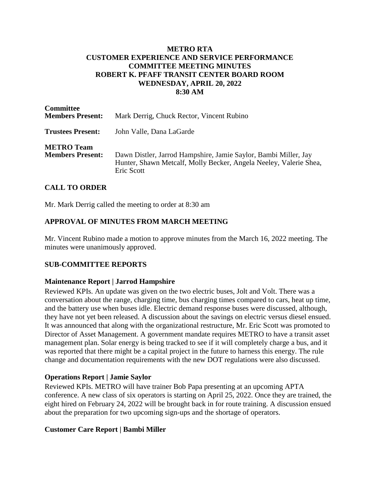#### **METRO RTA CUSTOMER EXPERIENCE AND SERVICE PERFORMANCE COMMITTEE MEETING MINUTES ROBERT K. PFAFF TRANSIT CENTER BOARD ROOM WEDNESDAY, APRIL 20, 2022 8:30 AM**

| <b>Committee</b><br><b>Members Present:</b>  | Mark Derrig, Chuck Rector, Vincent Rubino                                                                                                          |
|----------------------------------------------|----------------------------------------------------------------------------------------------------------------------------------------------------|
| <b>Trustees Present:</b>                     | John Valle, Dana LaGarde                                                                                                                           |
| <b>METRO Team</b><br><b>Members Present:</b> | Dawn Distler, Jarrod Hampshire, Jamie Saylor, Bambi Miller, Jay<br>Hunter, Shawn Metcalf, Molly Becker, Angela Neeley, Valerie Shea,<br>Eric Scott |

## **CALL TO ORDER**

Mr. Mark Derrig called the meeting to order at 8:30 am

## **APPROVAL OF MINUTES FROM MARCH MEETING**

Mr. Vincent Rubino made a motion to approve minutes from the March 16, 2022 meeting. The minutes were unanimously approved.

#### **SUB-COMMITTEE REPORTS**

#### **Maintenance Report | Jarrod Hampshire**

Reviewed KPIs. An update was given on the two electric buses, Jolt and Volt. There was a conversation about the range, charging time, bus charging times compared to cars, heat up time, and the battery use when buses idle. Electric demand response buses were discussed, although, they have not yet been released. A discussion about the savings on electric versus diesel ensued. It was announced that along with the organizational restructure, Mr. Eric Scott was promoted to Director of Asset Management. A government mandate requires METRO to have a transit asset management plan. Solar energy is being tracked to see if it will completely charge a bus, and it was reported that there might be a capital project in the future to harness this energy. The rule change and documentation requirements with the new DOT regulations were also discussed.

#### **Operations Report | Jamie Saylor**

Reviewed KPIs. METRO will have trainer Bob Papa presenting at an upcoming APTA conference. A new class of six operators is starting on April 25, 2022. Once they are trained, the eight hired on February 24, 2022 will be brought back in for route training. A discussion ensued about the preparation for two upcoming sign-ups and the shortage of operators.

## **Customer Care Report | Bambi Miller**